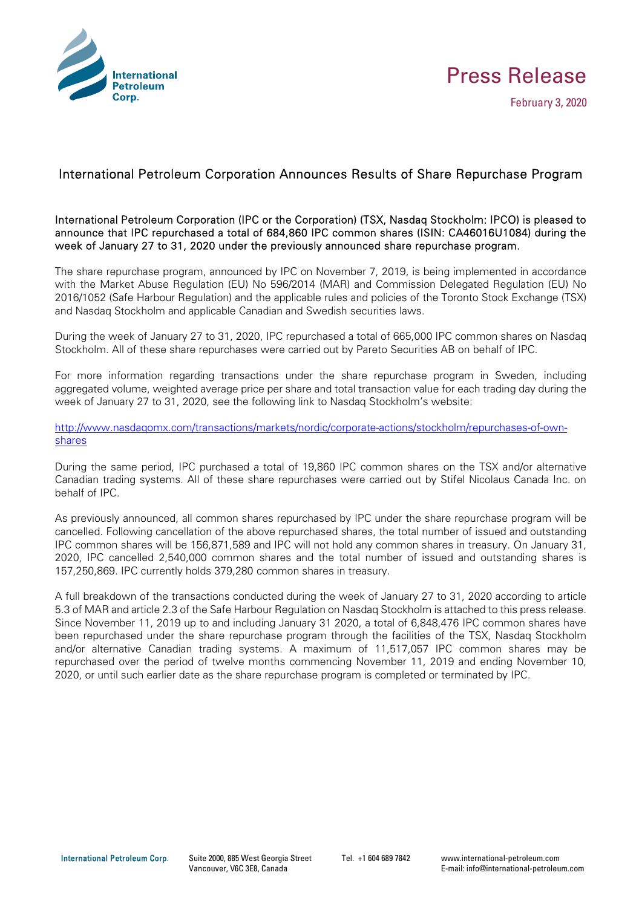



## International Petroleum Corporation Announces Results of Share Repurchase Program

## International Petroleum Corporation (IPC or the Corporation) (TSX, Nasdaq Stockholm: IPCO) is pleased to announce that IPC repurchased a total of 684,860 IPC common shares (ISIN: CA46016U1084) during the week of January 27 to 31, 2020 under the previously announced share repurchase program.

The share repurchase program, announced by IPC on November 7, 2019, is being implemented in accordance with the Market Abuse Regulation (EU) No 596/2014 (MAR) and Commission Delegated Regulation (EU) No 2016/1052 (Safe Harbour Regulation) and the applicable rules and policies of the Toronto Stock Exchange (TSX) and Nasdaq Stockholm and applicable Canadian and Swedish securities laws.

During the week of January 27 to 31, 2020, IPC repurchased a total of 665,000 IPC common shares on Nasdaq Stockholm. All of these share repurchases were carried out by Pareto Securities AB on behalf of IPC.

For more information regarding transactions under the share repurchase program in Sweden, including aggregated volume, weighted average price per share and total transaction value for each trading day during the week of January 27 to 31, 2020, see the following link to Nasdaq Stockholm's website:

http://www.nasdaqomx.com/transactions/markets/nordic/corporate-actions/stockholm/repurchases-of-ownshares

During the same period, IPC purchased a total of 19,860 IPC common shares on the TSX and/or alternative Canadian trading systems. All of these share repurchases were carried out by Stifel Nicolaus Canada Inc. on behalf of IPC.

As previously announced, all common shares repurchased by IPC under the share repurchase program will be cancelled. Following cancellation of the above repurchased shares, the total number of issued and outstanding IPC common shares will be 156,871,589 and IPC will not hold any common shares in treasury. On January 31, 2020, IPC cancelled 2,540,000 common shares and the total number of issued and outstanding shares is 157,250,869. IPC currently holds 379,280 common shares in treasury.

A full breakdown of the transactions conducted during the week of January 27 to 31, 2020 according to article 5.3 of MAR and article 2.3 of the Safe Harbour Regulation on Nasdaq Stockholm is attached to this press release. Since November 11, 2019 up to and including January 31 2020, a total of 6,848,476 IPC common shares have been repurchased under the share repurchase program through the facilities of the TSX, Nasdaq Stockholm and/or alternative Canadian trading systems. A maximum of 11,517,057 IPC common shares may be repurchased over the period of twelve months commencing November 11, 2019 and ending November 10, 2020, or until such earlier date as the share repurchase program is completed or terminated by IPC.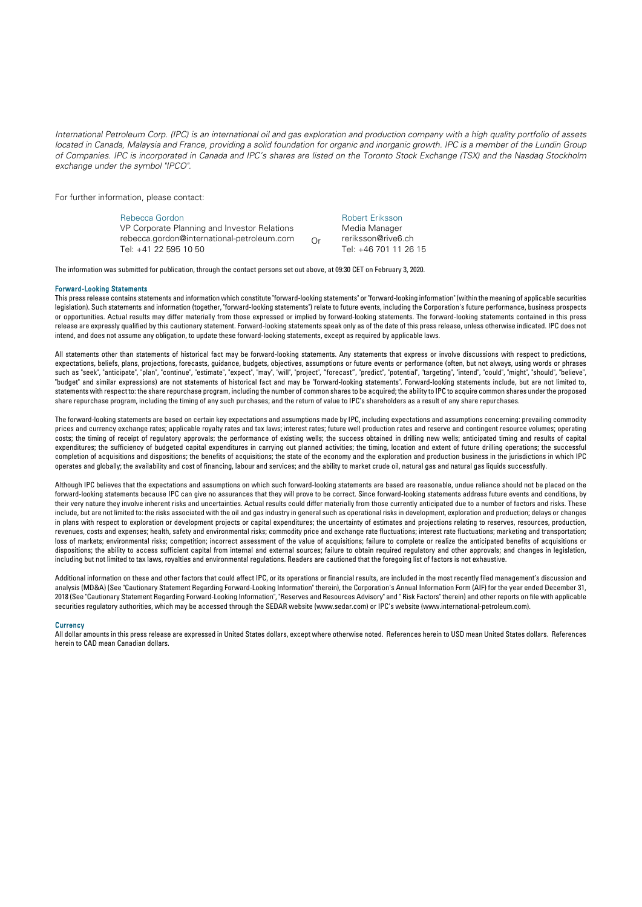*International Petroleum Corp. (IPC) is an international oil and gas exploration and production company with a high quality portfolio of assets*  located in Canada, Malaysia and France, providing a solid foundation for organic and inorganic growth. IPC is a member of the Lundin Group *of Companies. IPC is incorporated in Canada and IPC's shares are listed on the Toronto Stock Exchange (TSX) and the Nasdaq Stockholm exchange under the symbol "IPCO".* 

For further information, please contact:

Rebecca Gordon VP Corporate Planning and Investor Relations rebecca.gordon@international-petroleum.com Tel: +41 22 595 10 50 Or Robert Eriksson Media Manager reriksson@rive6.ch Tel: +46 701 11 26 15

The information was submitted for publication, through the contact persons set out above, at 09:30 CET on February 3, 2020.

## Forward-Looking Statements

This press release contains statements and information which constitute "forward-looking statements" or "forward-looking information" (within the meaning of applicable securities legislation). Such statements and information (together, "forward-looking statements") relate to future events, including the Corporation's future performance, business prospects or opportunities. Actual results may differ materially from those expressed or implied by forward-looking statements. The forward-looking statements contained in this press release are expressly qualified by this cautionary statement. Forward-looking statements speak only as of the date of this press release, unless otherwise indicated. IPC does not intend, and does not assume any obligation, to update these forward-looking statements, except as required by applicable laws.

All statements other than statements of historical fact may be forward-looking statements. Any statements that express or involve discussions with respect to predictions, expectations, beliefs, plans, projections, forecasts, guidance, budgets, objectives, assumptions or future events or performance (often, but not always, using words or phrases such as "seek", "anticipate", "plan", "continue", "estimate", "expect", "may", "will", "project", "forecast", "predict", "potential", "targeting", "intend", "could", "might", "should", "believe", "budget" and similar expressions) are not statements of historical fact and may be "forward-looking statements". Forward-looking statements include, but are not limited to, statements with respect to: the share repurchase program, including the number of common shares to be acquired; the ability to IPC to acquire common shares under the proposed share repurchase program, including the timing of any such purchases; and the return of value to IPC's shareholders as a result of any share repurchases.

The forward-looking statements are based on certain key expectations and assumptions made by IPC, including expectations and assumptions concerning: prevailing commodity prices and currency exchange rates; applicable royalty rates and tax laws; interest rates; future well production rates and reserve and contingent resource volumes; operating costs; the timing of receipt of regulatory approvals; the performance of existing wells; the success obtained in drilling new wells; anticipated timing and results of capital expenditures; the sufficiency of budgeted capital expenditures in carrying out planned activities; the timing, location and extent of future drilling operations; the successful completion of acquisitions and dispositions; the benefits of acquisitions; the state of the economy and the exploration and production business in the jurisdictions in which IPC operates and globally; the availability and cost of financing, labour and services; and the ability to market crude oil, natural gas and natural gas liquids successfully.

Although IPC believes that the expectations and assumptions on which such forward-looking statements are based are reasonable, undue reliance should not be placed on the forward-looking statements because IPC can give no assurances that they will prove to be correct. Since forward-looking statements address future events and conditions, by their very nature they involve inherent risks and uncertainties. Actual results could differ materially from those currently anticipated due to a number of factors and risks. These include, but are not limited to: the risks associated with the oil and gas industry in general such as operational risks in development, exploration and production; delays or changes in plans with respect to exploration or development projects or capital expenditures; the uncertainty of estimates and projections relating to reserves, resources, production, revenues, costs and expenses; health, safety and environmental risks; commodity price and exchange rate fluctuations; interest rate fluctuations; marketing and transportation; loss of markets; environmental risks; competition; incorrect assessment of the value of acquisitions; failure to complete or realize the anticipated benefits of acquisitions or dispositions; the ability to access sufficient capital from internal and external sources; failure to obtain required regulatory and other approvals; and changes in legislation, including but not limited to tax laws, royalties and environmental regulations. Readers are cautioned that the foregoing list of factors is not exhaustive.

Additional information on these and other factors that could affect IPC, or its operations or financial results, are included in the most recently filed management's discussion and analysis (MD&A) (See "Cautionary Statement Regarding Forward-Looking Information" therein), the Corporation's Annual Information Form (AIF) for the year ended December 31, 2018 (See "Cautionary Statement Regarding Forward-Looking Information", "Reserves and Resources Advisory" and " Risk Factors" therein) and other reports on file with applicable securities regulatory authorities, which may be accessed through the SEDAR website (www.sedar.com) or IPC's website (www.international-petroleum.com).

## **Currency**

All dollar amounts in this press release are expressed in United States dollars, except where otherwise noted. References herein to USD mean United States dollars. References herein to CAD mean Canadian dollars.